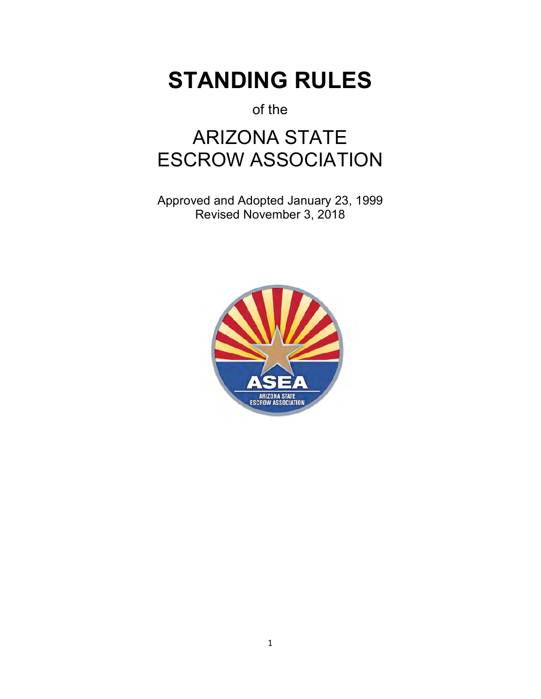# **STANDING RULES**

of the

# ARIZONA STATE ESCROW ASSOCIATION

Approved and Adopted January 23, 1999 Revised November 3, 2018

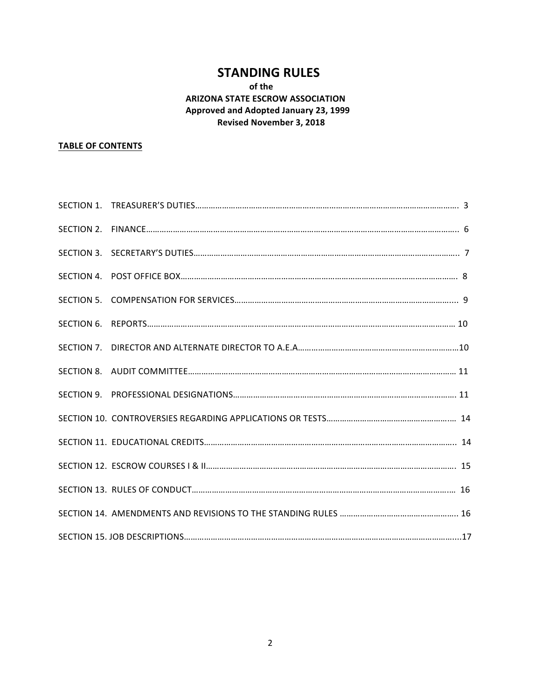## **STANDING RULES**

### **of the ARIZONA STATE ESCROW ASSOCIATION Approved and Adopted January 23, 1999 Revised November 3, 2018**

### **TABLE OF CONTENTS**

| SECTION 2. |  |
|------------|--|
|            |  |
|            |  |
|            |  |
|            |  |
| SECTION 7. |  |
|            |  |
|            |  |
|            |  |
|            |  |
|            |  |
|            |  |
|            |  |
|            |  |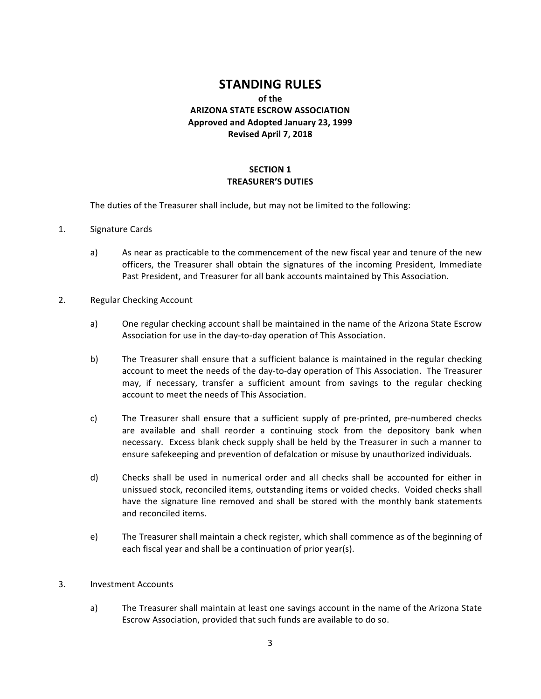## **STANDING RULES**

### **of the ARIZONA STATE ESCROW ASSOCIATION Approved and Adopted January 23, 1999 Revised April 7, 2018**

### **SECTION 1 TREASURER'S DUTIES**

The duties of the Treasurer shall include, but may not be limited to the following:

- 1. Signature Cards
	- a) As near as practicable to the commencement of the new fiscal year and tenure of the new officers, the Treasurer shall obtain the signatures of the incoming President, Immediate Past President, and Treasurer for all bank accounts maintained by This Association.
- 2. Regular Checking Account
	- a) One regular checking account shall be maintained in the name of the Arizona State Escrow Association for use in the day-to-day operation of This Association.
	- b) The Treasurer shall ensure that a sufficient balance is maintained in the regular checking account to meet the needs of the day-to-day operation of This Association. The Treasurer may, if necessary, transfer a sufficient amount from savings to the regular checking account to meet the needs of This Association.
	- c) The Treasurer shall ensure that a sufficient supply of pre-printed, pre-numbered checks are available and shall reorder a continuing stock from the depository bank when necessary. Excess blank check supply shall be held by the Treasurer in such a manner to ensure safekeeping and prevention of defalcation or misuse by unauthorized individuals.
	- d) Checks shall be used in numerical order and all checks shall be accounted for either in unissued stock, reconciled items, outstanding items or voided checks. Voided checks shall have the signature line removed and shall be stored with the monthly bank statements and reconciled items.
	- e) The Treasurer shall maintain a check register, which shall commence as of the beginning of each fiscal year and shall be a continuation of prior year(s).

#### 3. Investment Accounts

a) The Treasurer shall maintain at least one savings account in the name of the Arizona State Escrow Association, provided that such funds are available to do so.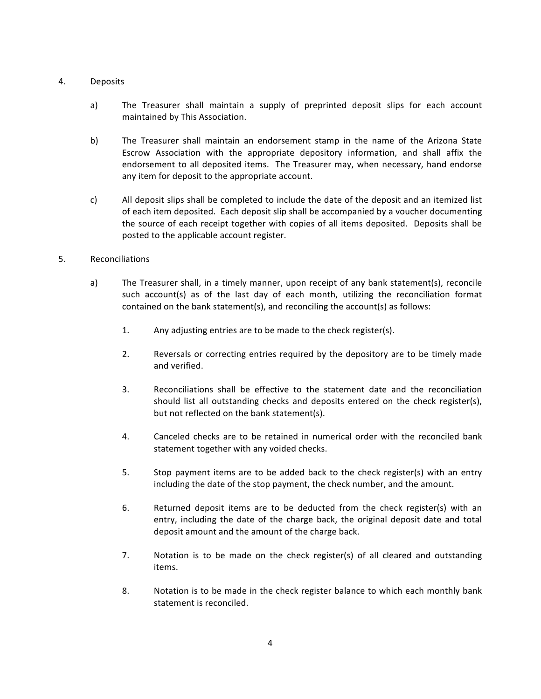#### 4. Deposits

- a) The Treasurer shall maintain a supply of preprinted deposit slips for each account maintained by This Association.
- b) The Treasurer shall maintain an endorsement stamp in the name of the Arizona State Escrow Association with the appropriate depository information, and shall affix the endorsement to all deposited items. The Treasurer may, when necessary, hand endorse any item for deposit to the appropriate account.
- c) All deposit slips shall be completed to include the date of the deposit and an itemized list of each item deposited. Each deposit slip shall be accompanied by a voucher documenting the source of each receipt together with copies of all items deposited. Deposits shall be posted to the applicable account register.

#### 5. Reconciliations

- a) The Treasurer shall, in a timely manner, upon receipt of any bank statement(s), reconcile such account(s) as of the last day of each month, utilizing the reconciliation format contained on the bank statement(s), and reconciling the account(s) as follows:
	- 1. Any adjusting entries are to be made to the check register(s).
	- 2. Reversals or correcting entries required by the depository are to be timely made and verified.
	- 3. Reconciliations shall be effective to the statement date and the reconciliation should list all outstanding checks and deposits entered on the check register(s), but not reflected on the bank statement(s).
	- 4. Canceled checks are to be retained in numerical order with the reconciled bank statement together with any voided checks.
	- 5. Stop payment items are to be added back to the check register(s) with an entry including the date of the stop payment, the check number, and the amount.
	- 6. Returned deposit items are to be deducted from the check register(s) with an entry, including the date of the charge back, the original deposit date and total deposit amount and the amount of the charge back.
	- 7. Notation is to be made on the check register(s) of all cleared and outstanding items.
	- 8. Notation is to be made in the check register balance to which each monthly bank statement is reconciled.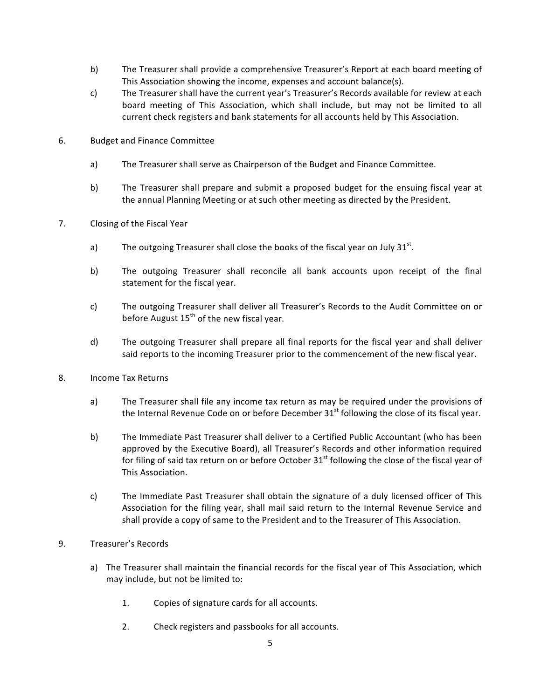- b) The Treasurer shall provide a comprehensive Treasurer's Report at each board meeting of This Association showing the income, expenses and account balance(s).
- c) The Treasurer shall have the current year's Treasurer's Records available for review at each board meeting of This Association, which shall include, but may not be limited to all current check registers and bank statements for all accounts held by This Association.
- 6. Budget and Finance Committee
	- a) The Treasurer shall serve as Chairperson of the Budget and Finance Committee.
	- b) The Treasurer shall prepare and submit a proposed budget for the ensuing fiscal year at the annual Planning Meeting or at such other meeting as directed by the President.
- 7. Closing of the Fiscal Year
	- a) The outgoing Treasurer shall close the books of the fiscal year on July  $31^{st}$ .
	- b) The outgoing Treasurer shall reconcile all bank accounts upon receipt of the final statement for the fiscal year.
	- c) The outgoing Treasurer shall deliver all Treasurer's Records to the Audit Committee on or before August  $15<sup>th</sup>$  of the new fiscal year.
	- d) The outgoing Treasurer shall prepare all final reports for the fiscal year and shall deliver said reports to the incoming Treasurer prior to the commencement of the new fiscal year.
- 8. Income Tax Returns
	- a) The Treasurer shall file any income tax return as may be required under the provisions of the Internal Revenue Code on or before December  $31<sup>st</sup>$  following the close of its fiscal year.
	- b) The Immediate Past Treasurer shall deliver to a Certified Public Accountant (who has been approved by the Executive Board), all Treasurer's Records and other information required for filing of said tax return on or before October  $31<sup>st</sup>$  following the close of the fiscal year of This Association.
	- c) The Immediate Past Treasurer shall obtain the signature of a duly licensed officer of This Association for the filing year, shall mail said return to the Internal Revenue Service and shall provide a copy of same to the President and to the Treasurer of This Association.
- 9. Treasurer's Records
	- a) The Treasurer shall maintain the financial records for the fiscal year of This Association, which may include, but not be limited to:
		- 1. Copies of signature cards for all accounts.
		- 2. Check registers and passbooks for all accounts.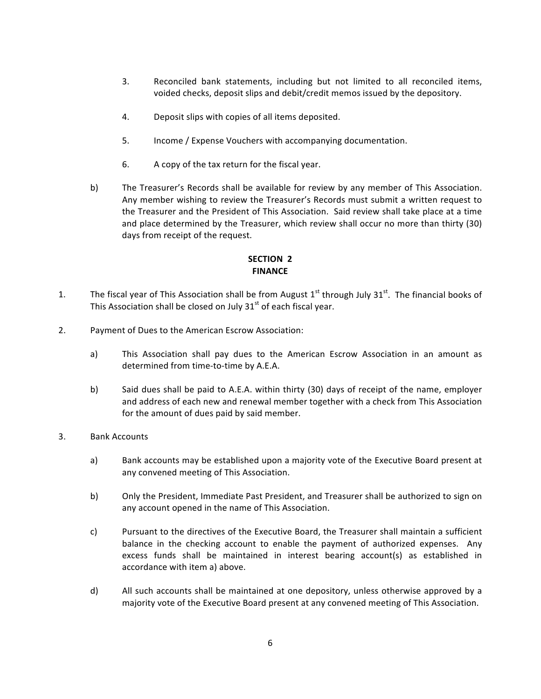- 3. Reconciled bank statements, including but not limited to all reconciled items, voided checks, deposit slips and debit/credit memos issued by the depository.
- 4. Deposit slips with copies of all items deposited.
- 5. Income / Expense Vouchers with accompanying documentation.
- 6. A copy of the tax return for the fiscal year.
- b) The Treasurer's Records shall be available for review by any member of This Association. Any member wishing to review the Treasurer's Records must submit a written request to the Treasurer and the President of This Association. Said review shall take place at a time and place determined by the Treasurer, which review shall occur no more than thirty (30) days from receipt of the request.

### **SECTION 2 FINANCE**

- 1. The fiscal year of This Association shall be from August  $1<sup>st</sup>$  through July 31 $<sup>st</sup>$ . The financial books of</sup> This Association shall be closed on July  $31<sup>st</sup>$  of each fiscal year.
- 2. Payment of Dues to the American Escrow Association:
	- a) This Association shall pay dues to the American Escrow Association in an amount as determined from time-to-time by A.E.A.
	- b) Said dues shall be paid to A.E.A. within thirty (30) days of receipt of the name, employer and address of each new and renewal member together with a check from This Association for the amount of dues paid by said member.
- 3. Bank Accounts
	- a) Bank accounts may be established upon a majority vote of the Executive Board present at any convened meeting of This Association.
	- b) Only the President, Immediate Past President, and Treasurer shall be authorized to sign on any account opened in the name of This Association.
	- c) Pursuant to the directives of the Executive Board, the Treasurer shall maintain a sufficient balance in the checking account to enable the payment of authorized expenses. Any excess funds shall be maintained in interest bearing account(s) as established in accordance with item a) above.
	- d) All such accounts shall be maintained at one depository, unless otherwise approved by a majority vote of the Executive Board present at any convened meeting of This Association.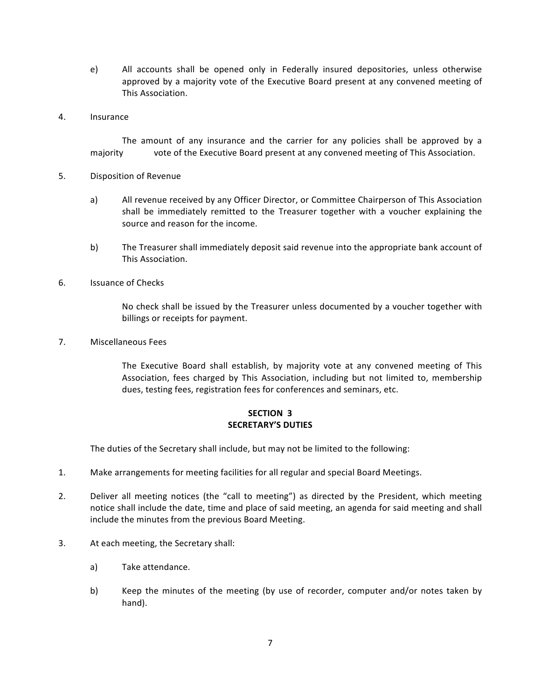- e) All accounts shall be opened only in Federally insured depositories, unless otherwise approved by a majority vote of the Executive Board present at any convened meeting of This Association.
- 4. Insurance

The amount of any insurance and the carrier for any policies shall be approved by a majority vote of the Executive Board present at any convened meeting of This Association.

- 5. Disposition of Revenue
	- a) All revenue received by any Officer Director, or Committee Chairperson of This Association shall be immediately remitted to the Treasurer together with a voucher explaining the source and reason for the income.
	- b) The Treasurer shall immediately deposit said revenue into the appropriate bank account of This Association.
- 6. Issuance of Checks

No check shall be issued by the Treasurer unless documented by a voucher together with billings or receipts for payment.

7. Miscellaneous Fees

The Executive Board shall establish, by majority vote at any convened meeting of This Association, fees charged by This Association, including but not limited to, membership dues, testing fees, registration fees for conferences and seminars, etc.

### **SECTION 3 SECRETARY'S DUTIES**

The duties of the Secretary shall include, but may not be limited to the following:

- 1. Make arrangements for meeting facilities for all regular and special Board Meetings.
- 2. Deliver all meeting notices (the "call to meeting") as directed by the President, which meeting notice shall include the date, time and place of said meeting, an agenda for said meeting and shall include the minutes from the previous Board Meeting.
- 3. At each meeting, the Secretary shall:
	- a) Take attendance.
	- b) Keep the minutes of the meeting (by use of recorder, computer and/or notes taken by hand).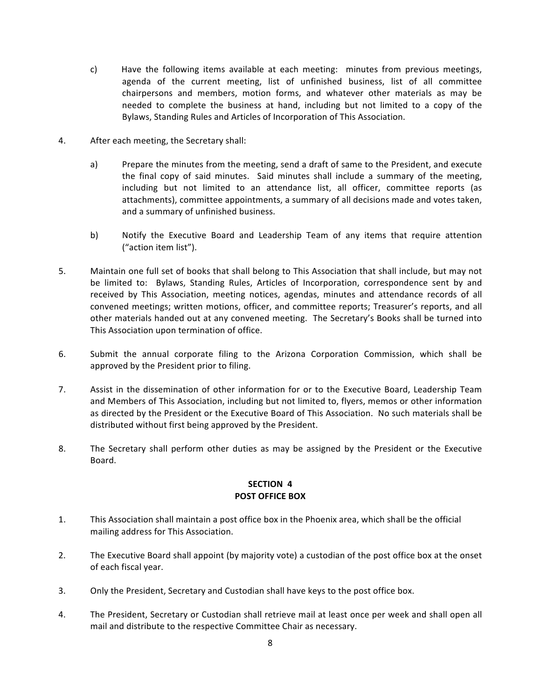- c) Have the following items available at each meeting: minutes from previous meetings, agenda of the current meeting, list of unfinished business, list of all committee chairpersons and members, motion forms, and whatever other materials as may be needed to complete the business at hand, including but not limited to a copy of the Bylaws, Standing Rules and Articles of Incorporation of This Association.
- 4. After each meeting, the Secretary shall:
	- a) Prepare the minutes from the meeting, send a draft of same to the President, and execute the final copy of said minutes. Said minutes shall include a summary of the meeting, including but not limited to an attendance list, all officer, committee reports (as attachments), committee appointments, a summary of all decisions made and votes taken, and a summary of unfinished business.
	- b) Notify the Executive Board and Leadership Team of any items that require attention ("action item list").
- 5. Maintain one full set of books that shall belong to This Association that shall include, but may not be limited to: Bylaws, Standing Rules, Articles of Incorporation, correspondence sent by and received by This Association, meeting notices, agendas, minutes and attendance records of all convened meetings; written motions, officer, and committee reports; Treasurer's reports, and all other materials handed out at any convened meeting. The Secretary's Books shall be turned into This Association upon termination of office.
- 6. Submit the annual corporate filing to the Arizona Corporation Commission, which shall be approved by the President prior to filing.
- 7. Assist in the dissemination of other information for or to the Executive Board, Leadership Team and Members of This Association, including but not limited to, flyers, memos or other information as directed by the President or the Executive Board of This Association. No such materials shall be distributed without first being approved by the President.
- 8. The Secretary shall perform other duties as may be assigned by the President or the Executive Board.

### **SECTION 4 POST OFFICE BOX**

- 1. This Association shall maintain a post office box in the Phoenix area, which shall be the official mailing address for This Association.
- 2. The Executive Board shall appoint (by majority vote) a custodian of the post office box at the onset of each fiscal year.
- 3. Only the President, Secretary and Custodian shall have keys to the post office box.
- 4. The President, Secretary or Custodian shall retrieve mail at least once per week and shall open all mail and distribute to the respective Committee Chair as necessary.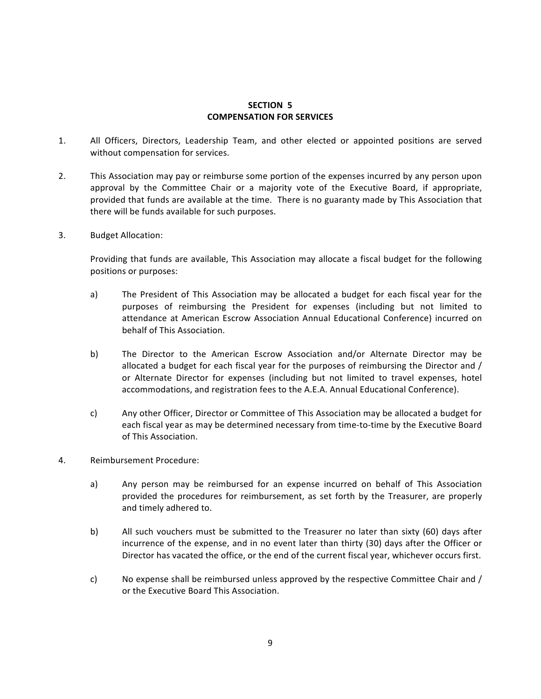#### **SECTION 5 COMPENSATION FOR SERVICES**

- 1. All Officers, Directors, Leadership Team, and other elected or appointed positions are served without compensation for services.
- 2. This Association may pay or reimburse some portion of the expenses incurred by any person upon approval by the Committee Chair or a majority vote of the Executive Board, if appropriate, provided that funds are available at the time. There is no guaranty made by This Association that there will be funds available for such purposes.
- 3. Budget Allocation:

Providing that funds are available, This Association may allocate a fiscal budget for the following positions or purposes:

- a) The President of This Association may be allocated a budget for each fiscal year for the purposes of reimbursing the President for expenses (including but not limited to attendance at American Escrow Association Annual Educational Conference) incurred on behalf of This Association.
- b) The Director to the American Escrow Association and/or Alternate Director may be allocated a budget for each fiscal year for the purposes of reimbursing the Director and / or Alternate Director for expenses (including but not limited to travel expenses, hotel accommodations, and registration fees to the A.E.A. Annual Educational Conference).
- c) Any other Officer, Director or Committee of This Association may be allocated a budget for each fiscal year as may be determined necessary from time-to-time by the Executive Board of This Association.
- 4. Reimbursement Procedure:
	- a) Any person may be reimbursed for an expense incurred on behalf of This Association provided the procedures for reimbursement, as set forth by the Treasurer, are properly and timely adhered to.
	- b) All such vouchers must be submitted to the Treasurer no later than sixty (60) days after incurrence of the expense, and in no event later than thirty (30) days after the Officer or Director has vacated the office, or the end of the current fiscal year, whichever occurs first.
	- c) No expense shall be reimbursed unless approved by the respective Committee Chair and / or the Executive Board This Association.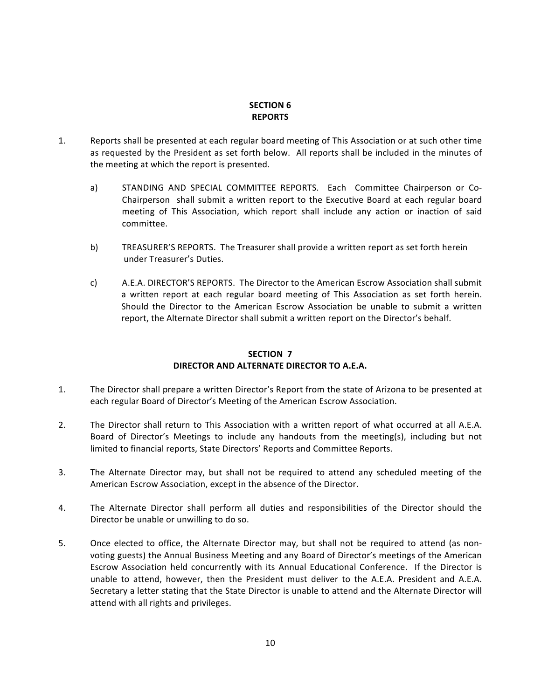### **SECTION 6 REPORTS**

- 1. Reports shall be presented at each regular board meeting of This Association or at such other time as requested by the President as set forth below. All reports shall be included in the minutes of the meeting at which the report is presented.
	- a) STANDING AND SPECIAL COMMITTEE REPORTS. Each Committee Chairperson or Co-Chairperson shall submit a written report to the Executive Board at each regular board meeting of This Association, which report shall include any action or inaction of said committee.
	- b) TREASURER'S REPORTS. The Treasurer shall provide a written report as set forth herein under Treasurer's Duties.
	- c) A.E.A. DIRECTOR'S REPORTS. The Director to the American Escrow Association shall submit a written report at each regular board meeting of This Association as set forth herein. Should the Director to the American Escrow Association be unable to submit a written report, the Alternate Director shall submit a written report on the Director's behalf.

### **SECTION 7 DIRECTOR AND ALTERNATE DIRECTOR TO A.E.A.**

- 1. The Director shall prepare a written Director's Report from the state of Arizona to be presented at each regular Board of Director's Meeting of the American Escrow Association.
- 2. The Director shall return to This Association with a written report of what occurred at all A.E.A. Board of Director's Meetings to include any handouts from the meeting(s), including but not limited to financial reports, State Directors' Reports and Committee Reports.
- 3. The Alternate Director may, but shall not be required to attend any scheduled meeting of the American Escrow Association, except in the absence of the Director.
- 4. The Alternate Director shall perform all duties and responsibilities of the Director should the Director be unable or unwilling to do so.
- 5. Once elected to office, the Alternate Director may, but shall not be required to attend (as nonvoting guests) the Annual Business Meeting and any Board of Director's meetings of the American Escrow Association held concurrently with its Annual Educational Conference. If the Director is unable to attend, however, then the President must deliver to the A.E.A. President and A.E.A. Secretary a letter stating that the State Director is unable to attend and the Alternate Director will attend with all rights and privileges.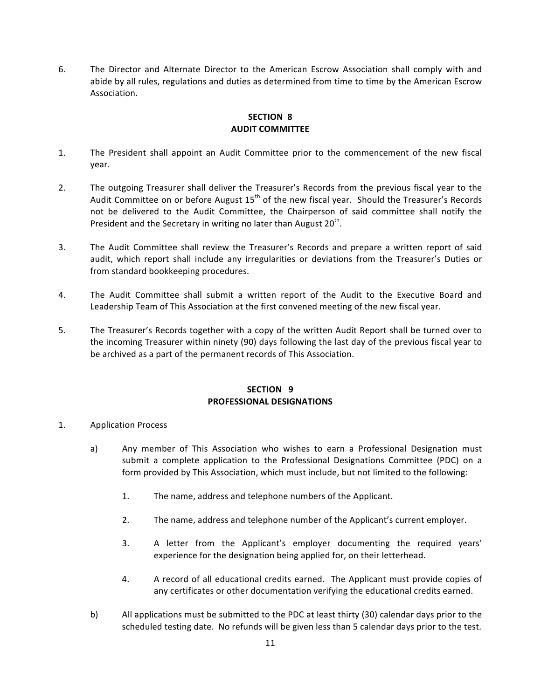6. The Director and Alternate Director to the American Escrow Association shall comply with and abide by all rules, regulations and duties as determined from time to time by the American Escrow Association.

### **SECTION 8 AUDIT COMMITTEE**

- 1. The President shall appoint an Audit Committee prior to the commencement of the new fiscal year.
- 2. The outgoing Treasurer shall deliver the Treasurer's Records from the previous fiscal year to the Audit Committee on or before August  $15<sup>th</sup>$  of the new fiscal year. Should the Treasurer's Records not be delivered to the Audit Committee, the Chairperson of said committee shall notify the President and the Secretary in writing no later than August  $20^{th}$ .
- 3. The Audit Committee shall review the Treasurer's Records and prepare a written report of said audit, which report shall include any irregularities or deviations from the Treasurer's Duties or from standard bookkeeping procedures.
- 4. The Audit Committee shall submit a written report of the Audit to the Executive Board and Leadership Team of This Association at the first convened meeting of the new fiscal year.
- 5. The Treasurer's Records together with a copy of the written Audit Report shall be turned over to the incoming Treasurer within ninety (90) days following the last day of the previous fiscal year to be archived as a part of the permanent records of This Association.

#### **SECTION 9 PROFESSIONAL DESIGNATIONS**

### 1. Application Process

- a) Any member of This Association who wishes to earn a Professional Designation must submit a complete application to the Professional Designations Committee (PDC) on a form provided by This Association, which must include, but not limited to the following:
	- 1. The name, address and telephone numbers of the Applicant.
	- 2. The name, address and telephone number of the Applicant's current employer.
	- 3. A letter from the Applicant's employer documenting the required years' experience for the designation being applied for, on their letterhead.
	- 4. A record of all educational credits earned. The Applicant must provide copies of any certificates or other documentation verifying the educational credits earned.
- b) All applications must be submitted to the PDC at least thirty (30) calendar days prior to the scheduled testing date. No refunds will be given less than 5 calendar days prior to the test.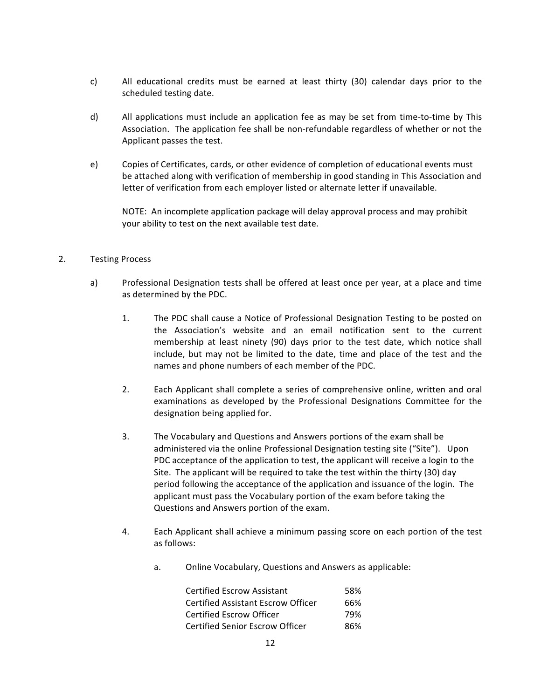- c) All educational credits must be earned at least thirty (30) calendar days prior to the scheduled testing date.
- d) All applications must include an application fee as may be set from time-to-time by This Association. The application fee shall be non-refundable regardless of whether or not the Applicant passes the test.
- e) Copies of Certificates, cards, or other evidence of completion of educational events must be attached along with verification of membership in good standing in This Association and letter of verification from each employer listed or alternate letter if unavailable.

NOTE: An incomplete application package will delay approval process and may prohibit your ability to test on the next available test date.

#### 2. Testing Process

- a) Professional Designation tests shall be offered at least once per year, at a place and time as determined by the PDC.
	- 1. The PDC shall cause a Notice of Professional Designation Testing to be posted on the Association's website and an email notification sent to the current membership at least ninety (90) days prior to the test date, which notice shall include, but may not be limited to the date, time and place of the test and the names and phone numbers of each member of the PDC.
	- 2. Each Applicant shall complete a series of comprehensive online, written and oral examinations as developed by the Professional Designations Committee for the designation being applied for.
	- 3. The Vocabulary and Questions and Answers portions of the exam shall be administered via the online Professional Designation testing site ("Site"). Upon PDC acceptance of the application to test, the applicant will receive a login to the Site. The applicant will be required to take the test within the thirty (30) day period following the acceptance of the application and issuance of the login. The applicant must pass the Vocabulary portion of the exam before taking the Questions and Answers portion of the exam.
	- 4. Each Applicant shall achieve a minimum passing score on each portion of the test as follows:
		- a. Online Vocabulary, Questions and Answers as applicable:

| <b>Certified Escrow Assistant</b>  | 58% |
|------------------------------------|-----|
| Certified Assistant Escrow Officer | 66% |
| <b>Certified Escrow Officer</b>    | 79% |
| Certified Senior Escrow Officer    | 86% |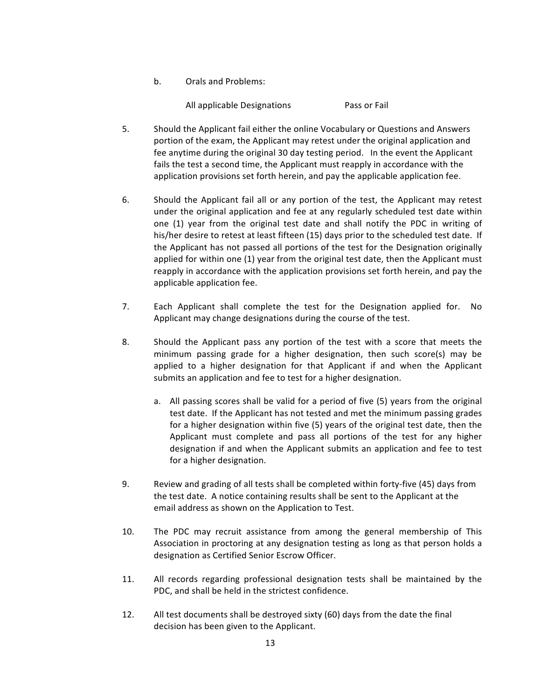b. Orals and Problems:

All applicable Designations **Pass** or Fail

- 5. Should the Applicant fail either the online Vocabulary or Questions and Answers portion of the exam, the Applicant may retest under the original application and fee anytime during the original 30 day testing period. In the event the Applicant fails the test a second time, the Applicant must reapply in accordance with the application provisions set forth herein, and pay the applicable application fee.
- 6. Should the Applicant fail all or any portion of the test, the Applicant may retest under the original application and fee at any regularly scheduled test date within one (1) year from the original test date and shall notify the PDC in writing of his/her desire to retest at least fifteen (15) days prior to the scheduled test date. If the Applicant has not passed all portions of the test for the Designation originally applied for within one  $(1)$  year from the original test date, then the Applicant must reapply in accordance with the application provisions set forth herein, and pay the applicable application fee.
- 7. Each Applicant shall complete the test for the Designation applied for. No Applicant may change designations during the course of the test.
- 8. Should the Applicant pass any portion of the test with a score that meets the minimum passing grade for a higher designation, then such score(s) may be applied to a higher designation for that Applicant if and when the Applicant submits an application and fee to test for a higher designation.
	- a. All passing scores shall be valid for a period of five (5) years from the original test date. If the Applicant has not tested and met the minimum passing grades for a higher designation within five (5) years of the original test date, then the Applicant must complete and pass all portions of the test for any higher designation if and when the Applicant submits an application and fee to test for a higher designation.
- 9. Review and grading of all tests shall be completed within forty-five (45) days from the test date. A notice containing results shall be sent to the Applicant at the email address as shown on the Application to Test.
- 10. The PDC may recruit assistance from among the general membership of This Association in proctoring at any designation testing as long as that person holds a designation as Certified Senior Escrow Officer.
- 11. All records regarding professional designation tests shall be maintained by the PDC, and shall be held in the strictest confidence.
- 12. All test documents shall be destroyed sixty (60) days from the date the final decision has been given to the Applicant.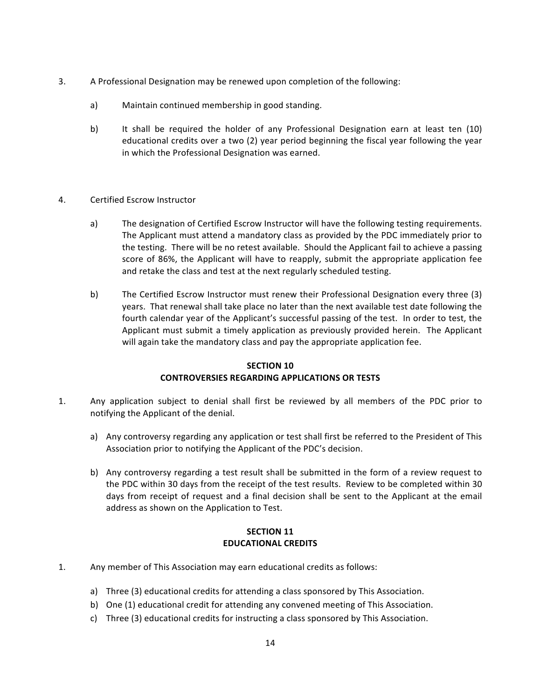- 3. A Professional Designation may be renewed upon completion of the following:
	- a) Maintain continued membership in good standing.
	- b) It shall be required the holder of any Professional Designation earn at least ten (10) educational credits over a two (2) year period beginning the fiscal year following the year in which the Professional Designation was earned.
- 4. Certified Escrow Instructor
	- a) The designation of Certified Escrow Instructor will have the following testing requirements. The Applicant must attend a mandatory class as provided by the PDC immediately prior to the testing. There will be no retest available. Should the Applicant fail to achieve a passing score of 86%, the Applicant will have to reapply, submit the appropriate application fee and retake the class and test at the next regularly scheduled testing.
	- b) The Certified Escrow Instructor must renew their Professional Designation every three (3) years. That renewal shall take place no later than the next available test date following the fourth calendar year of the Applicant's successful passing of the test. In order to test, the Applicant must submit a timely application as previously provided herein. The Applicant will again take the mandatory class and pay the appropriate application fee.

### **SECTION 10 CONTROVERSIES REGARDING APPLICATIONS OR TESTS**

- 1. Any application subject to denial shall first be reviewed by all members of the PDC prior to notifying the Applicant of the denial.
	- a) Any controversy regarding any application or test shall first be referred to the President of This Association prior to notifying the Applicant of the PDC's decision.
	- b) Any controversy regarding a test result shall be submitted in the form of a review request to the PDC within 30 days from the receipt of the test results. Review to be completed within 30 days from receipt of request and a final decision shall be sent to the Applicant at the email address as shown on the Application to Test.

### **SECTION 11 EDUCATIONAL CREDITS**

- 1. Any member of This Association may earn educational credits as follows:
	- a) Three (3) educational credits for attending a class sponsored by This Association.
	- b) One (1) educational credit for attending any convened meeting of This Association.
	- c) Three (3) educational credits for instructing a class sponsored by This Association.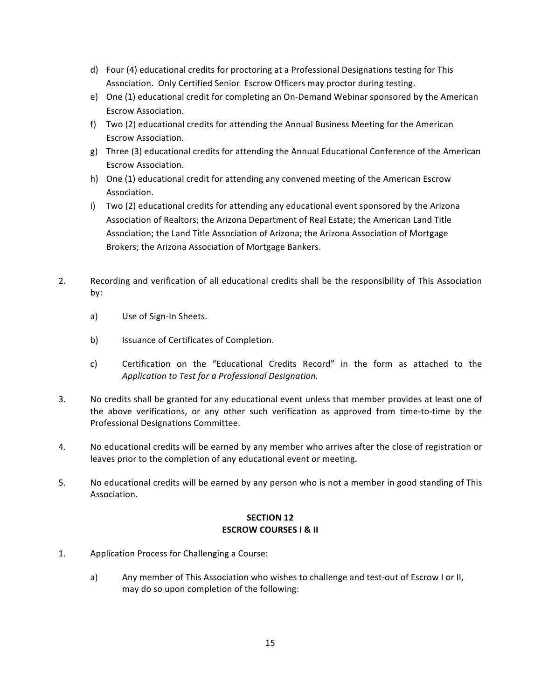- d) Four (4) educational credits for proctoring at a Professional Designations testing for This Association. Only Certified Senior Escrow Officers may proctor during testing.
- e) One (1) educational credit for completing an On-Demand Webinar sponsored by the American Escrow Association.
- f) Two (2) educational credits for attending the Annual Business Meeting for the American Escrow Association.
- g) Three (3) educational credits for attending the Annual Educational Conference of the American Escrow Association.
- h) One (1) educational credit for attending any convened meeting of the American Escrow Association.
- i) Two (2) educational credits for attending any educational event sponsored by the Arizona Association of Realtors; the Arizona Department of Real Estate; the American Land Title Association; the Land Title Association of Arizona; the Arizona Association of Mortgage Brokers; the Arizona Association of Mortgage Bankers.
- 2. Recording and verification of all educational credits shall be the responsibility of This Association by:
	- a) Use of Sign-In Sheets.
	- b) Issuance of Certificates of Completion.
	- c) Certification on the "Educational Credits Record" in the form as attached to the *Application to Test for a Professional Designation.*
- 3. No credits shall be granted for any educational event unless that member provides at least one of the above verifications, or any other such verification as approved from time-to-time by the Professional Designations Committee.
- 4. No educational credits will be earned by any member who arrives after the close of registration or leaves prior to the completion of any educational event or meeting.
- 5. No educational credits will be earned by any person who is not a member in good standing of This Association.

### **SECTION 12 ESCROW COURSES I & II**

- 1. Application Process for Challenging a Course:
	- a) Any member of This Association who wishes to challenge and test-out of Escrow I or II, may do so upon completion of the following: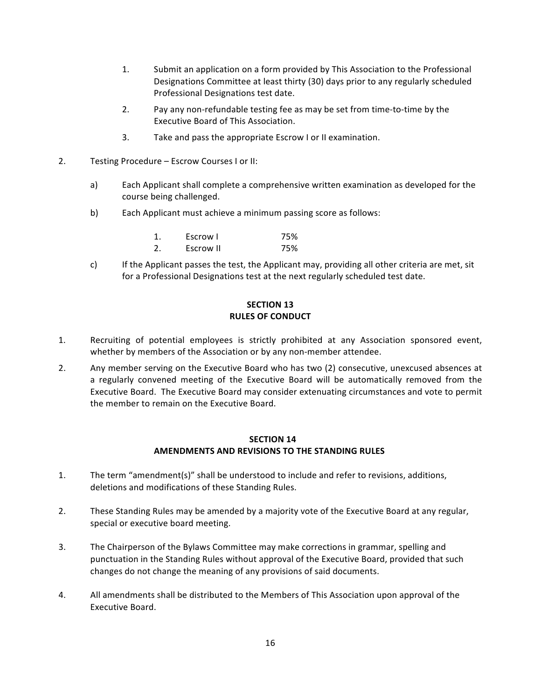- 1. Submit an application on a form provided by This Association to the Professional Designations Committee at least thirty (30) days prior to any regularly scheduled Professional Designations test date.
- 2. Pay any non-refundable testing fee as may be set from time-to-time by the Executive Board of This Association.
- 3. Take and pass the appropriate Escrow I or II examination.
- 2. Testing Procedure Escrow Courses I or II:
	- a) Each Applicant shall complete a comprehensive written examination as developed for the course being challenged.
	- b) Each Applicant must achieve a minimum passing score as follows:

|    | Escrow I  | 75% |
|----|-----------|-----|
| 2. | Escrow II | 75% |

c) If the Applicant passes the test, the Applicant may, providing all other criteria are met, sit for a Professional Designations test at the next regularly scheduled test date.

### **SECTION 13 RULES OF CONDUCT**

- 1. Recruiting of potential employees is strictly prohibited at any Association sponsored event, whether by members of the Association or by any non-member attendee.
- 2. Any member serving on the Executive Board who has two (2) consecutive, unexcused absences at a regularly convened meeting of the Executive Board will be automatically removed from the Executive Board. The Executive Board may consider extenuating circumstances and vote to permit the member to remain on the Executive Board.

#### **SECTION 14 AMENDMENTS AND REVISIONS TO THE STANDING RULES**

- 1. The term "amendment(s)" shall be understood to include and refer to revisions, additions, deletions and modifications of these Standing Rules.
- 2. These Standing Rules may be amended by a majority vote of the Executive Board at any regular, special or executive board meeting.
- 3. The Chairperson of the Bylaws Committee may make corrections in grammar, spelling and punctuation in the Standing Rules without approval of the Executive Board, provided that such changes do not change the meaning of any provisions of said documents.
- 4. All amendments shall be distributed to the Members of This Association upon approval of the Executive Board.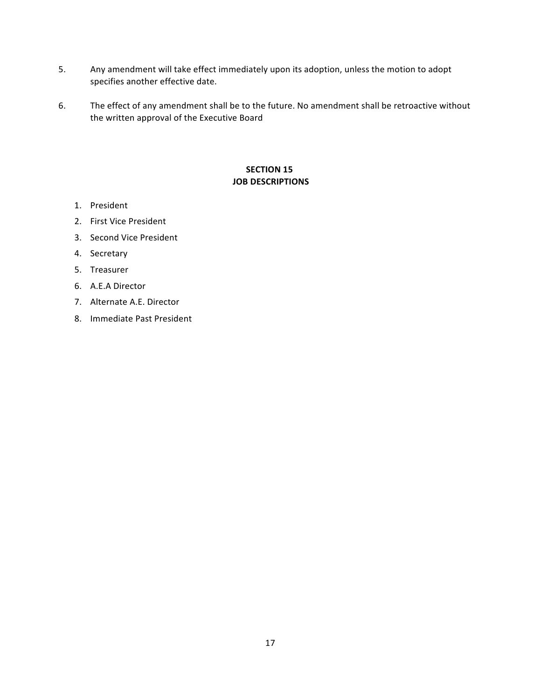- 5. Any amendment will take effect immediately upon its adoption, unless the motion to adopt specifies another effective date.
- 6. The effect of any amendment shall be to the future. No amendment shall be retroactive without the written approval of the Executive Board

### **SECTION 15 JOB DESCRIPTIONS**

- 1. President
- 2. First Vice President
- 3. Second Vice President
- 4. Secretary
- 5. Treasurer
- 6. A.E.A Director
- 7. Alternate A.E. Director
- 8. Immediate Past President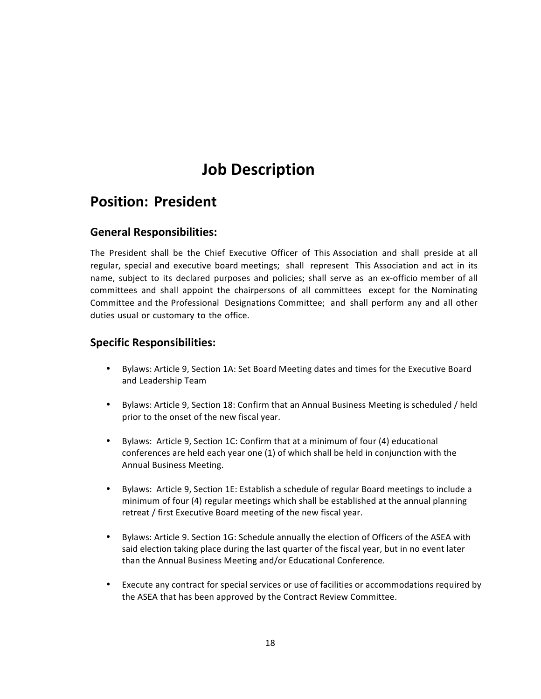## **Position: President**

## **General Responsibilities:**

The President shall be the Chief Executive Officer of This Association and shall preside at all regular, special and executive board meetings; shall represent This Association and act in its name, subject to its declared purposes and policies; shall serve as an ex-officio member of all committees and shall appoint the chairpersons of all committees except for the Nominating Committee and the Professional Designations Committee; and shall perform any and all other duties usual or customary to the office.

- Bylaws: Article 9, Section 1A: Set Board Meeting dates and times for the Executive Board and Leadership Team
- Bylaws: Article 9, Section 18: Confirm that an Annual Business Meeting is scheduled / held prior to the onset of the new fiscal year.
- Bylaws: Article 9, Section 1C: Confirm that at a minimum of four (4) educational conferences are held each year one (1) of which shall be held in conjunction with the Annual Business Meeting.
- Bylaws: Article 9, Section 1E: Establish a schedule of regular Board meetings to include a minimum of four (4) regular meetings which shall be established at the annual planning retreat / first Executive Board meeting of the new fiscal year.
- Bylaws: Article 9. Section 1G: Schedule annually the election of Officers of the ASEA with said election taking place during the last quarter of the fiscal year, but in no event later than the Annual Business Meeting and/or Educational Conference.
- Execute any contract for special services or use of facilities or accommodations required by the ASEA that has been approved by the Contract Review Committee.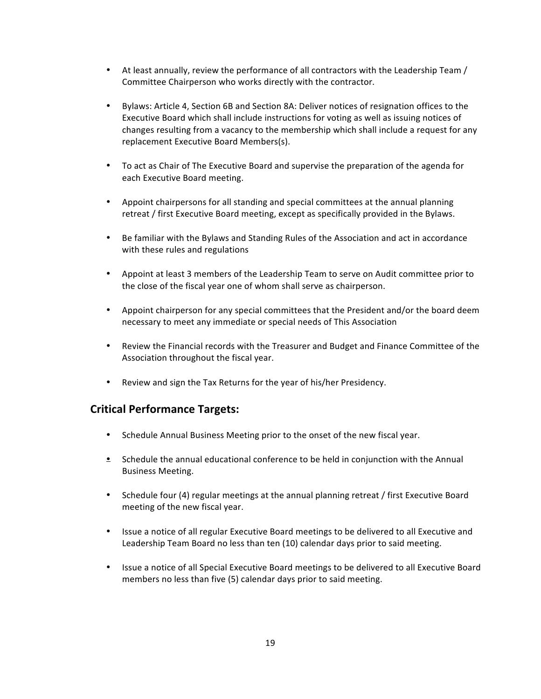- At least annually, review the performance of all contractors with the Leadership Team / Committee Chairperson who works directly with the contractor.
- Bylaws: Article 4, Section 6B and Section 8A: Deliver notices of resignation offices to the Executive Board which shall include instructions for voting as well as issuing notices of changes resulting from a vacancy to the membership which shall include a request for any replacement Executive Board Members(s).
- To act as Chair of The Executive Board and supervise the preparation of the agenda for each Executive Board meeting.
- Appoint chairpersons for all standing and special committees at the annual planning retreat / first Executive Board meeting, except as specifically provided in the Bylaws.
- Be familiar with the Bylaws and Standing Rules of the Association and act in accordance with these rules and regulations
- Appoint at least 3 members of the Leadership Team to serve on Audit committee prior to the close of the fiscal year one of whom shall serve as chairperson.
- Appoint chairperson for any special committees that the President and/or the board deem necessary to meet any immediate or special needs of This Association
- Review the Financial records with the Treasurer and Budget and Finance Committee of the Association throughout the fiscal year.
- Review and sign the Tax Returns for the year of his/her Presidency.

### **Critical Performance Targets:**

- Schedule Annual Business Meeting prior to the onset of the new fiscal year.
- $\bullet$  Schedule the annual educational conference to be held in conjunction with the Annual Business Meeting.
- Schedule four (4) regular meetings at the annual planning retreat / first Executive Board meeting of the new fiscal year.
- Issue a notice of all regular Executive Board meetings to be delivered to all Executive and Leadership Team Board no less than ten (10) calendar days prior to said meeting.
- Issue a notice of all Special Executive Board meetings to be delivered to all Executive Board members no less than five (5) calendar days prior to said meeting.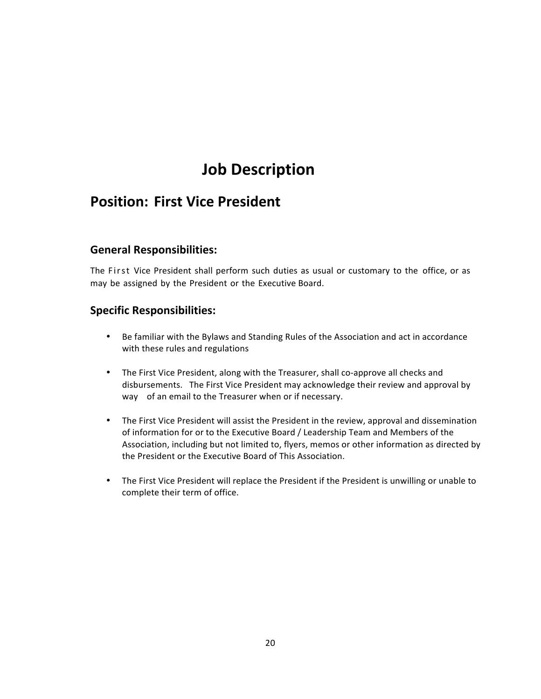## **Position: First Vice President**

## **General Responsibilities:**

The First Vice President shall perform such duties as usual or customary to the office, or as may be assigned by the President or the Executive Board.

- Be familiar with the Bylaws and Standing Rules of the Association and act in accordance with these rules and regulations
- The First Vice President, along with the Treasurer, shall co-approve all checks and disbursements. The First Vice President may acknowledge their review and approval by way of an email to the Treasurer when or if necessary.
- The First Vice President will assist the President in the review, approval and dissemination of information for or to the Executive Board / Leadership Team and Members of the Association, including but not limited to, flyers, memos or other information as directed by the President or the Executive Board of This Association.
- The First Vice President will replace the President if the President is unwilling or unable to complete their term of office.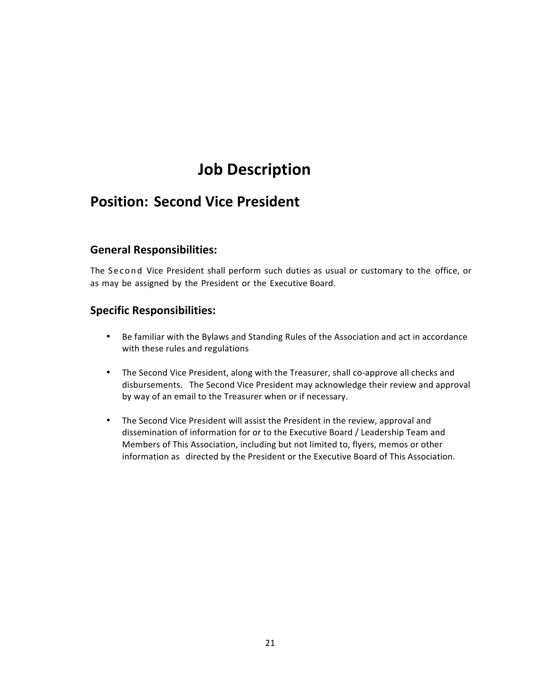## **Position: Second Vice President**

## **General Responsibilities:**

The Second Vice President shall perform such duties as usual or customary to the office, or as may be assigned by the President or the Executive Board.

- Be familiar with the Bylaws and Standing Rules of the Association and act in accordance with these rules and regulations
- The Second Vice President, along with the Treasurer, shall co-approve all checks and disbursements. The Second Vice President may acknowledge their review and approval by way of an email to the Treasurer when or if necessary.
- The Second Vice President will assist the President in the review, approval and dissemination of information for or to the Executive Board / Leadership Team and Members of This Association, including but not limited to, flyers, memos or other information as directed by the President or the Executive Board of This Association.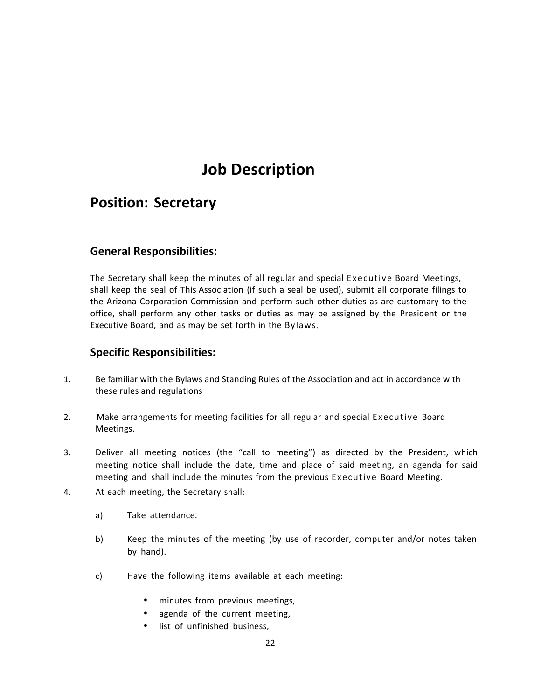## **Position: Secretary**

## **General Responsibilities:**

The Secretary shall keep the minutes of all regular and special Executive Board Meetings, shall keep the seal of This Association (if such a seal be used), submit all corporate filings to the Arizona Corporation Commission and perform such other duties as are customary to the office, shall perform any other tasks or duties as may be assigned by the President or the Executive Board, and as may be set forth in the Bylaws.

- 1. Be familiar with the Bylaws and Standing Rules of the Association and act in accordance with these rules and regulations
- 2. Make arrangements for meeting facilities for all regular and special Executive Board Meetings.
- 3. Deliver all meeting notices (the "call to meeting") as directed by the President, which meeting notice shall include the date, time and place of said meeting, an agenda for said meeting and shall include the minutes from the previous Executive Board Meeting.
- 4. At each meeting, the Secretary shall:
	- a) Take attendance.
	- b) Keep the minutes of the meeting (by use of recorder, computer and/or notes taken by hand).
	- c) Have the following items available at each meeting:
		- minutes from previous meetings,
		- agenda of the current meeting,
		- list of unfinished business,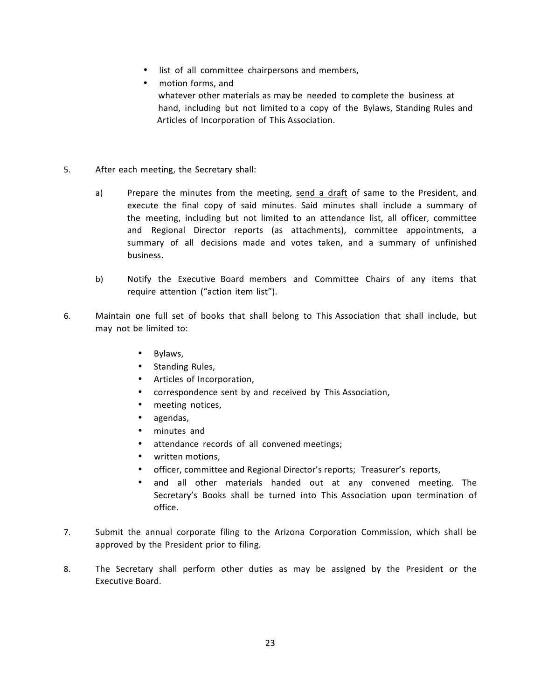- list of all committee chairpersons and members,
- motion forms, and whatever other materials as may be needed to complete the business at hand, including but not limited to a copy of the Bylaws, Standing Rules and Articles of Incorporation of This Association.
- 5. After each meeting, the Secretary shall:
	- a) Prepare the minutes from the meeting, send a draft of same to the President, and execute the final copy of said minutes. Said minutes shall include a summary of the meeting, including but not limited to an attendance list, all officer, committee and Regional Director reports (as attachments), committee appointments, a summary of all decisions made and votes taken, and a summary of unfinished business.
	- b) Notify the Executive Board members and Committee Chairs of any items that require attention ("action item list").
- 6. Maintain one full set of books that shall belong to This Association that shall include, but may not be limited to:
	- Bylaws,
	- Standing Rules,
	- Articles of Incorporation,
	- correspondence sent by and received by This Association,
	- meeting notices,
	- agendas,
	- minutes and
	- attendance records of all convened meetings;
	- written motions,
	- officer, committee and Regional Director's reports; Treasurer's reports,
	- and all other materials handed out at any convened meeting. The Secretary's Books shall be turned into This Association upon termination of office.
- 7. Submit the annual corporate filing to the Arizona Corporation Commission, which shall be approved by the President prior to filing.
- 8. The Secretary shall perform other duties as may be assigned by the President or the Executive Board.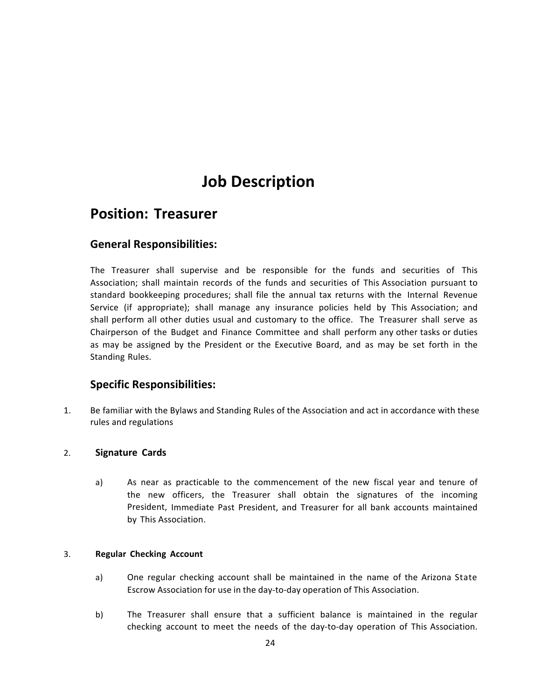## **Position: Treasurer**

## **General Responsibilities:**

The Treasurer shall supervise and be responsible for the funds and securities of This Association; shall maintain records of the funds and securities of This Association pursuant to standard bookkeeping procedures; shall file the annual tax returns with the Internal Revenue Service (if appropriate); shall manage any insurance policies held by This Association; and shall perform all other duties usual and customary to the office. The Treasurer shall serve as Chairperson of the Budget and Finance Committee and shall perform any other tasks or duties as may be assigned by the President or the Executive Board, and as may be set forth in the Standing Rules.

## **Specific Responsibilities:**

1. Be familiar with the Bylaws and Standing Rules of the Association and act in accordance with these rules and regulations

### 2. **Signature Cards**

a) As near as practicable to the commencement of the new fiscal year and tenure of the new officers, the Treasurer shall obtain the signatures of the incoming President, Immediate Past President, and Treasurer for all bank accounts maintained by This Association.

#### 3. **Regular Checking Account**

- a) One regular checking account shall be maintained in the name of the Arizona State Escrow Association for use in the day-to-day operation of This Association.
- b) The Treasurer shall ensure that a sufficient balance is maintained in the regular checking account to meet the needs of the day-to-day operation of This Association.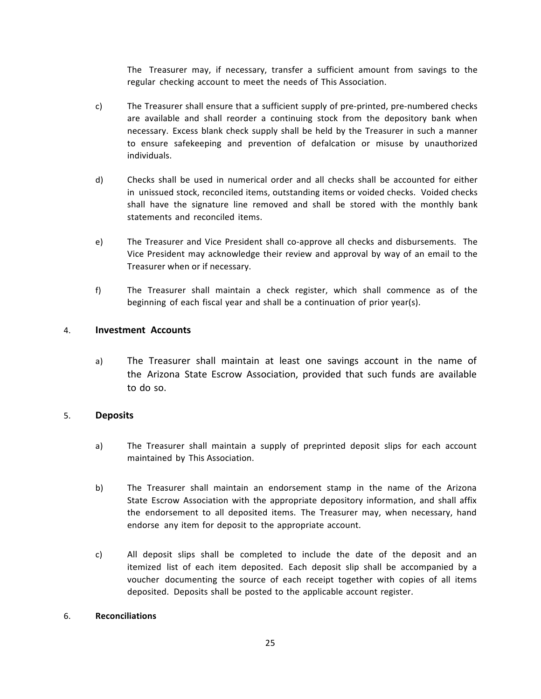The Treasurer may, if necessary, transfer a sufficient amount from savings to the regular checking account to meet the needs of This Association.

- c) The Treasurer shall ensure that a sufficient supply of pre-printed, pre-numbered checks are available and shall reorder a continuing stock from the depository bank when necessary. Excess blank check supply shall be held by the Treasurer in such a manner to ensure safekeeping and prevention of defalcation or misuse by unauthorized individuals.
- d) Checks shall be used in numerical order and all checks shall be accounted for either in unissued stock, reconciled items, outstanding items or voided checks. Voided checks shall have the signature line removed and shall be stored with the monthly bank statements and reconciled items.
- e) The Treasurer and Vice President shall co-approve all checks and disbursements. The Vice President may acknowledge their review and approval by way of an email to the Treasurer when or if necessary.
- f) The Treasurer shall maintain a check register, which shall commence as of the beginning of each fiscal year and shall be a continuation of prior year(s).

### 4. **Investment Accounts**

a) The Treasurer shall maintain at least one savings account in the name of the Arizona State Escrow Association, provided that such funds are available to do so.

### 5. **Deposits**

- a) The Treasurer shall maintain a supply of preprinted deposit slips for each account maintained by This Association.
- b) The Treasurer shall maintain an endorsement stamp in the name of the Arizona State Escrow Association with the appropriate depository information, and shall affix the endorsement to all deposited items. The Treasurer may, when necessary, hand endorse any item for deposit to the appropriate account.
- c) All deposit slips shall be completed to include the date of the deposit and an itemized list of each item deposited. Each deposit slip shall be accompanied by a voucher documenting the source of each receipt together with copies of all items deposited. Deposits shall be posted to the applicable account register.

### 6. **Reconciliations**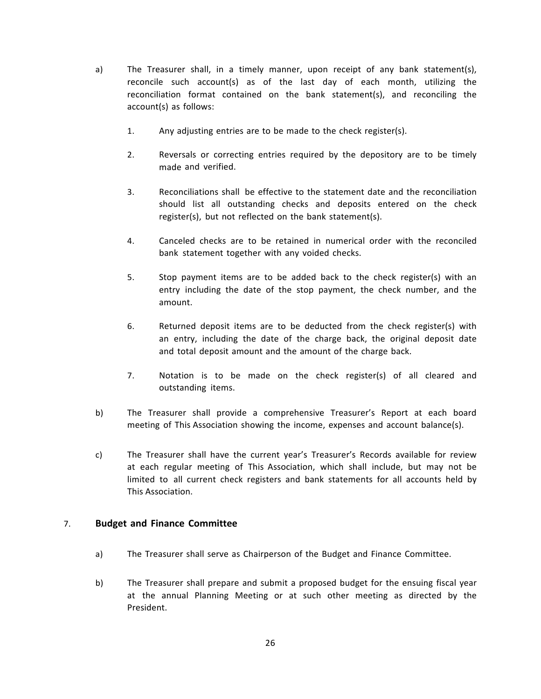- a) The Treasurer shall, in a timely manner, upon receipt of any bank statement(s), reconcile such account(s) as of the last day of each month, utilizing the reconciliation format contained on the bank statement(s), and reconciling the account(s) as follows:
	- 1. Any adjusting entries are to be made to the check register(s).
	- 2. Reversals or correcting entries required by the depository are to be timely made and verified.
	- 3. Reconciliations shall be effective to the statement date and the reconciliation should list all outstanding checks and deposits entered on the check register(s), but not reflected on the bank statement(s).
	- 4. Canceled checks are to be retained in numerical order with the reconciled bank statement together with any voided checks.
	- 5. Stop payment items are to be added back to the check register(s) with an entry including the date of the stop payment, the check number, and the amount.
	- 6. Returned deposit items are to be deducted from the check register(s) with an entry, including the date of the charge back, the original deposit date and total deposit amount and the amount of the charge back.
	- 7. Notation is to be made on the check register(s) of all cleared and outstanding items.
- b) The Treasurer shall provide a comprehensive Treasurer's Report at each board meeting of This Association showing the income, expenses and account balance(s).
- c) The Treasurer shall have the current year's Treasurer's Records available for review at each regular meeting of This Association, which shall include, but may not be limited to all current check registers and bank statements for all accounts held by This Association.

### 7. **Budget and Finance Committee**

- a) The Treasurer shall serve as Chairperson of the Budget and Finance Committee.
- b) The Treasurer shall prepare and submit a proposed budget for the ensuing fiscal year at the annual Planning Meeting or at such other meeting as directed by the President.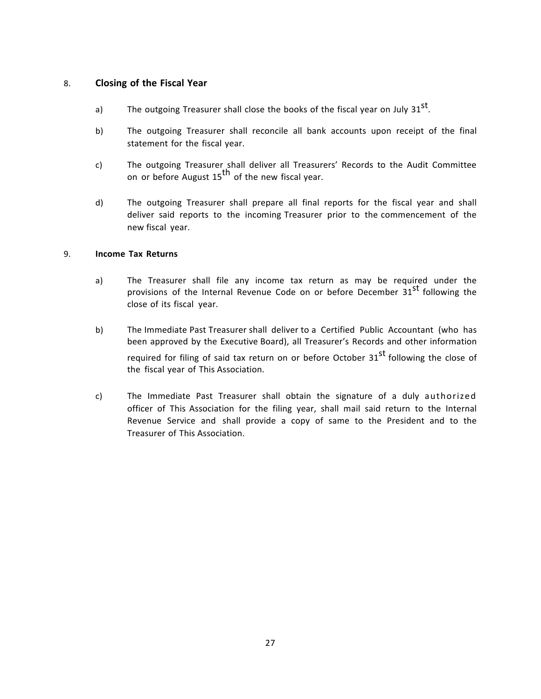### 8. **Closing of the Fiscal Year**

- a) The outgoing Treasurer shall close the books of the fiscal year on July  $31^{st}$ .
- b) The outgoing Treasurer shall reconcile all bank accounts upon receipt of the final statement for the fiscal year.
- c) The outgoing Treasurer shall deliver all Treasurers' Records to the Audit Committee on or before August 15<sup>th</sup> of the new fiscal year.
- d) The outgoing Treasurer shall prepare all final reports for the fiscal year and shall deliver said reports to the incoming Treasurer prior to the commencement of the new fiscal year.

### 9. **Income Tax Returns**

- a) The Treasurer shall file any income tax return as may be required under the provisions of the Internal Revenue Code on or before December 31<sup>st</sup> following the close of its fiscal year.
- b) The Immediate Past Treasurer shall deliver to a Certified Public Accountant (who has been approved by the Executive Board), all Treasurer's Records and other information required for filing of said tax return on or before October 31<sup>st</sup> following the close of the fiscal year of This Association.
- c) The Immediate Past Treasurer shall obtain the signature of a duly authorized officer of This Association for the filing year, shall mail said return to the Internal Revenue Service and shall provide a copy of same to the President and to the Treasurer of This Association.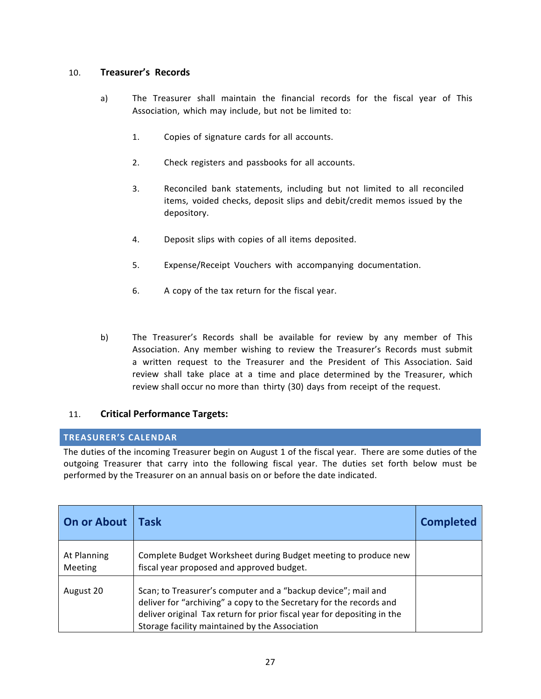### 10. **Treasurer's Records**

- a) The Treasurer shall maintain the financial records for the fiscal year of This Association, which may include, but not be limited to:
	- 1. Copies of signature cards for all accounts.
	- 2. Check registers and passbooks for all accounts.
	- 3. Reconciled bank statements, including but not limited to all reconciled items, voided checks, deposit slips and debit/credit memos issued by the depository.
	- 4. Deposit slips with copies of all items deposited.
	- 5. Expense/Receipt Vouchers with accompanying documentation.
	- 6. A copy of the tax return for the fiscal year.
- b) The Treasurer's Records shall be available for review by any member of This Association. Any member wishing to review the Treasurer's Records must submit a written request to the Treasurer and the President of This Association. Said review shall take place at a time and place determined by the Treasurer, which review shall occur no more than thirty (30) days from receipt of the request.

### 11. **Critical Performance Targets:**

### **TREASURER'S CALENDAR**

The duties of the incoming Treasurer begin on August 1 of the fiscal year. There are some duties of the outgoing Treasurer that carry into the following fiscal year. The duties set forth below must be performed by the Treasurer on an annual basis on or before the date indicated.

| <b>On or About</b>            | <b>Task</b>                                                                                                                                                                                                                                                       | <b>Completed</b> |
|-------------------------------|-------------------------------------------------------------------------------------------------------------------------------------------------------------------------------------------------------------------------------------------------------------------|------------------|
| At Planning<br><b>Meeting</b> | Complete Budget Worksheet during Budget meeting to produce new<br>fiscal year proposed and approved budget.                                                                                                                                                       |                  |
| August 20                     | Scan; to Treasurer's computer and a "backup device"; mail and<br>deliver for "archiving" a copy to the Secretary for the records and<br>deliver original Tax return for prior fiscal year for depositing in the<br>Storage facility maintained by the Association |                  |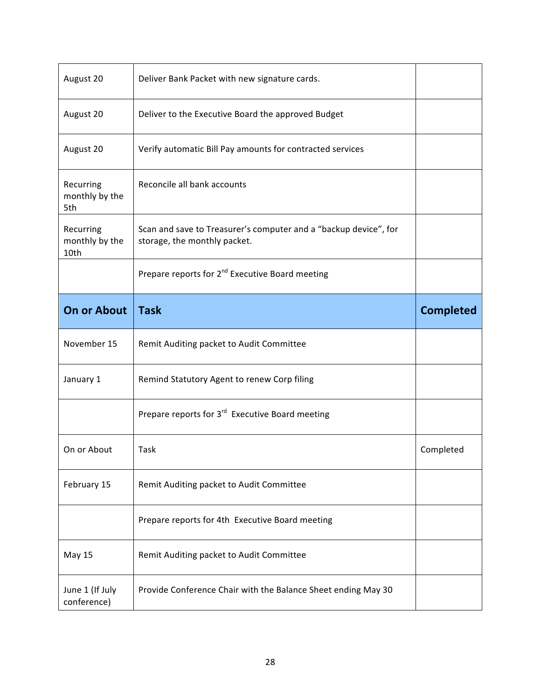| August 20                           | Deliver Bank Packet with new signature cards.                                                    |                  |
|-------------------------------------|--------------------------------------------------------------------------------------------------|------------------|
| August 20                           | Deliver to the Executive Board the approved Budget                                               |                  |
| August 20                           | Verify automatic Bill Pay amounts for contracted services                                        |                  |
| Recurring<br>monthly by the<br>5th  | Reconcile all bank accounts                                                                      |                  |
| Recurring<br>monthly by the<br>10th | Scan and save to Treasurer's computer and a "backup device", for<br>storage, the monthly packet. |                  |
|                                     | Prepare reports for 2 <sup>nd</sup> Executive Board meeting                                      |                  |
| <b>On or About</b>                  | <b>Task</b>                                                                                      | <b>Completed</b> |
| November 15                         | Remit Auditing packet to Audit Committee                                                         |                  |
| January 1                           | Remind Statutory Agent to renew Corp filing                                                      |                  |
|                                     | Prepare reports for 3 <sup>rd</sup> Executive Board meeting                                      |                  |
| On or About                         | Task                                                                                             | Completed        |
| February 15                         | Remit Auditing packet to Audit Committee                                                         |                  |
|                                     | Prepare reports for 4th Executive Board meeting                                                  |                  |
|                                     |                                                                                                  |                  |
| May 15                              | Remit Auditing packet to Audit Committee                                                         |                  |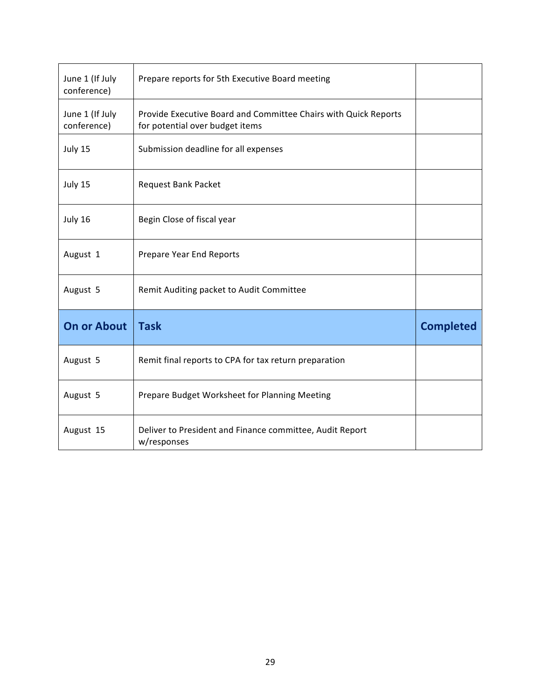| June 1 (If July<br>conference) | Prepare reports for 5th Executive Board meeting                                                    |                  |
|--------------------------------|----------------------------------------------------------------------------------------------------|------------------|
| June 1 (If July<br>conference) | Provide Executive Board and Committee Chairs with Quick Reports<br>for potential over budget items |                  |
| July 15                        | Submission deadline for all expenses                                                               |                  |
| July 15                        | Request Bank Packet                                                                                |                  |
| July 16                        | Begin Close of fiscal year                                                                         |                  |
| August 1                       | Prepare Year End Reports                                                                           |                  |
| August 5                       | Remit Auditing packet to Audit Committee                                                           |                  |
| <b>On or About</b>             | <b>Task</b>                                                                                        | <b>Completed</b> |
| August 5                       | Remit final reports to CPA for tax return preparation                                              |                  |
| August 5                       | Prepare Budget Worksheet for Planning Meeting                                                      |                  |
| August 15                      | Deliver to President and Finance committee, Audit Report<br>w/responses                            |                  |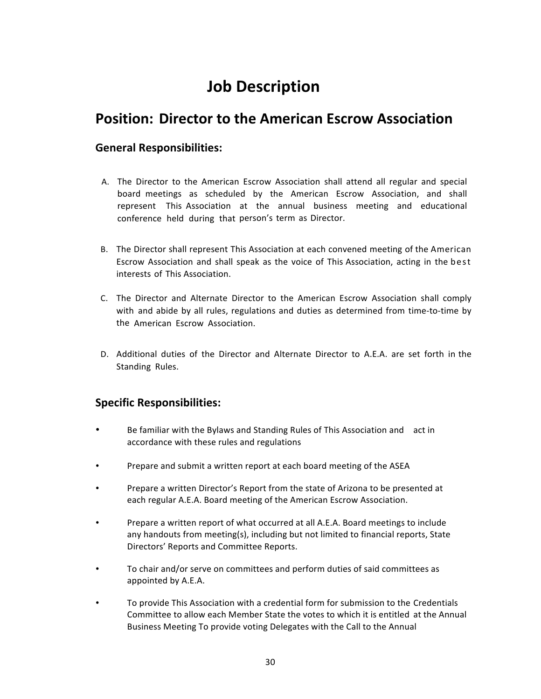## **Position: Director to the American Escrow Association**

## **General Responsibilities:**

- A. The Director to the American Escrow Association shall attend all regular and special board meetings as scheduled by the American Escrow Association, and shall represent This Association at the annual business meeting and educational conference held during that person's term as Director.
- B. The Director shall represent This Association at each convened meeting of the American Escrow Association and shall speak as the voice of This Association, acting in the best interests of This Association.
- C. The Director and Alternate Director to the American Escrow Association shall comply with and abide by all rules, regulations and duties as determined from time-to-time by the American Escrow Association.
- D. Additional duties of the Director and Alternate Director to A.E.A. are set forth in the Standing Rules.

- Be familiar with the Bylaws and Standing Rules of This Association and act in accordance with these rules and regulations
- Prepare and submit a written report at each board meeting of the ASEA
- Prepare a written Director's Report from the state of Arizona to be presented at each regular A.E.A. Board meeting of the American Escrow Association.
- Prepare a written report of what occurred at all A.E.A. Board meetings to include any handouts from meeting(s), including but not limited to financial reports, State Directors' Reports and Committee Reports.
- To chair and/or serve on committees and perform duties of said committees as appointed by A.E.A.
- To provide This Association with a credential form for submission to the Credentials Committee to allow each Member State the votes to which it is entitled at the Annual Business Meeting To provide voting Delegates with the Call to the Annual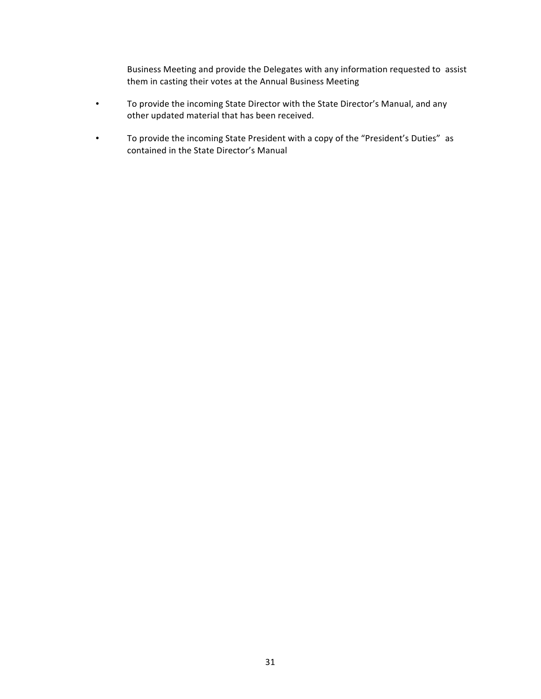Business Meeting and provide the Delegates with any information requested to assist them in casting their votes at the Annual Business Meeting

- To provide the incoming State Director with the State Director's Manual, and any other updated material that has been received.
- To provide the incoming State President with a copy of the "President's Duties" as contained in the State Director's Manual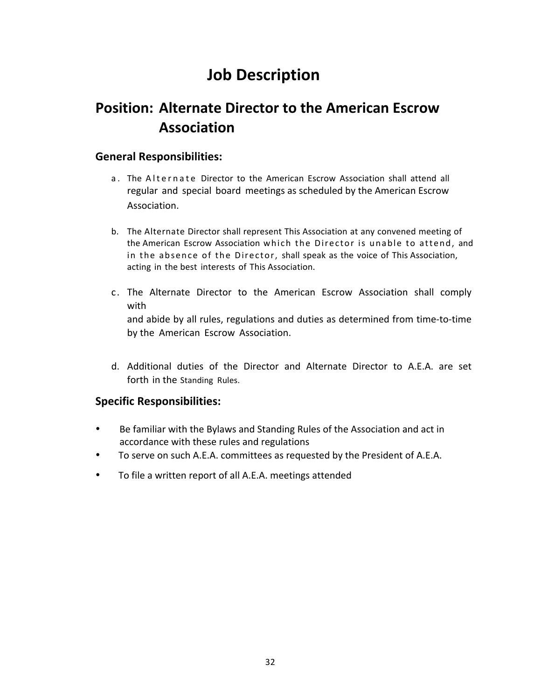## **Position: Alternate Director to the American Escrow Association**

## **General Responsibilities:**

- a. The Alternate Director to the American Escrow Association shall attend all regular and special board meetings as scheduled by the American Escrow Association.
- b. The Alternate Director shall represent This Association at any convened meeting of the American Escrow Association which the Director is unable to attend, and in the absence of the Director, shall speak as the voice of This Association, acting in the best interests of This Association.
- c. The Alternate Director to the American Escrow Association shall comply with and abide by all rules, regulations and duties as determined from time-to-time by the American Escrow Association.
- d. Additional duties of the Director and Alternate Director to A.E.A. are set forth in the Standing Rules.

- Be familiar with the Bylaws and Standing Rules of the Association and act in accordance with these rules and regulations
- To serve on such A.E.A. committees as requested by the President of A.E.A.
- To file a written report of all A.E.A. meetings attended